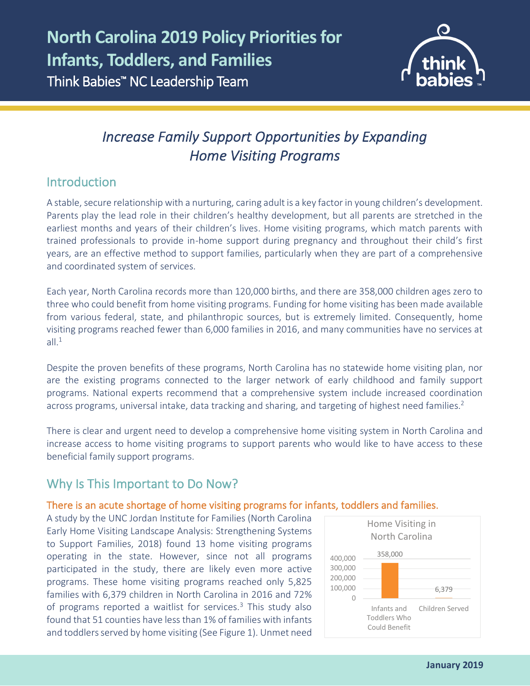

# *Increase Family Support Opportunities by Expanding Home Visiting Programs*

### Introduction

l

A stable, secure relationship with a nurturing, caring adult is a key factor in young children's development. Parents play the lead role in their children's healthy development, but all parents are stretched in the earliest months and years of their children's lives. Home visiting programs, which match parents with trained professionals to provide in-home support during pregnancy and throughout their child's first years, are an effective method to support families, particularly when they are part of a comprehensive and coordinated system of services.

Each year, North Carolina records more than 120,000 births, and there are 358,000 children ages zero to three who could benefit from home visiting programs. Funding for home visiting has been made available from various federal, state, and philanthropic sources, but is extremely limited. Consequently, home visiting programs reached fewer than 6,000 families in 2016, and many communities have no services at all. $1$ 

Despite the proven benefits of these programs, North Carolina has no statewide home visiting plan, nor are the existing programs connected to the larger network of early childhood and family support programs. National experts recommend that a comprehensive system include increased coordination across programs, universal intake, data tracking and sharing, and targeting of highest need families.<sup>2</sup>

There is clear and urgent need to develop a comprehensive home visiting system in North Carolina and increase access to home visiting programs to support parents who would like to have access to these beneficial family support programs.

## Why Is This Important to Do Now?

### There is an acute shortage of home visiting programs for infants, toddlers and families.

A study by the UNC Jordan Institute for Families (North Carolina Early Home Visiting Landscape Analysis: Strengthening Systems to Support Families, 2018) found 13 home visiting programs operating in the state. However, since not all programs participated in the study, there are likely even more active programs. These home visiting programs reached only 5,825 families with 6,379 children in North Carolina in 2016 and 72% of programs reported a waitlist for services. $3$  This study also found that 51 counties have less than 1% of families with infants and toddlers served by home visiting (See Figure 1). Unmet need

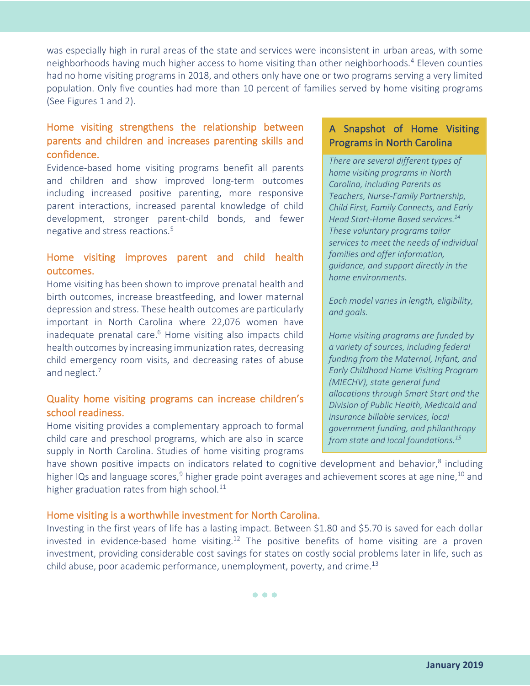was especially high in rural areas of the state and services were inconsistent in urban areas, with some neighborhoods having much higher access to home visiting than other neighborhoods.<sup>4</sup> Eleven counties had no home visiting programs in 2018, and others only have one or two programs serving a very limited population. Only five counties had more than 10 percent of families served by home visiting programs (See Figures 1 and 2).

### Home visiting strengthens the relationship between parents and children and increases parenting skills and confidence.

Evidence-based home visiting programs benefit all parents and children and show improved long-term outcomes including increased positive parenting, more responsive parent interactions, increased parental knowledge of child development, stronger parent-child bonds, and fewer negative and stress reactions.5

#### Home visiting improves parent and child health outcomes.

Home visiting has been shown to improve prenatal health and birth outcomes, increase breastfeeding, and lower maternal depression and stress. These health outcomes are particularly important in North Carolina where 22,076 women have inadequate prenatal care. $6$  Home visiting also impacts child health outcomes by increasing immunization rates, decreasing child emergency room visits, and decreasing rates of abuse and neglect.<sup>7</sup>

#### Quality home visiting programs can increase children's school readiness.

Home visiting provides a complementary approach to formal child care and preschool programs, which are also in scarce supply in North Carolina. Studies of home visiting programs

#### A Snapshot of Home Visiting Programs in North Carolina

*There are several different types of home visiting programs in North Carolina, including Parents as Teachers, Nurse-Family Partnership, Child First, Family Connects, and Early Head Start-Home Based services.14 These voluntary programs tailor services to meet the needs of individual families and offer information, guidance, and support directly in the home environments.* 

*Each model varies in length, eligibility, and goals.*

*Home visiting programs are funded by a variety of sources, including federal funding from the Maternal, Infant, and Early Childhood Home Visiting Program (MIECHV), state general fund allocations through Smart Start and the Division of Public Health, Medicaid and insurance billable services, local government funding, and philanthropy from state and local foundations.15*

have shown positive impacts on indicators related to cognitive development and behavior,<sup>8</sup> including higher IQs and language scores,<sup>9</sup> higher grade point averages and achievement scores at age nine,<sup>10</sup> and higher graduation rates from high school. $11$ 

#### Home visiting is a worthwhile investment for North Carolina.

Investing in the first years of life has a lasting impact. Between \$1.80 and \$5.70 is saved for each dollar invested in evidence-based home visiting.<sup>12</sup> The positive benefits of home visiting are a proven investment, providing considerable cost savings for states on costly social problems later in life, such as child abuse, poor academic performance, unemployment, poverty, and crime.<sup>13</sup>

• • •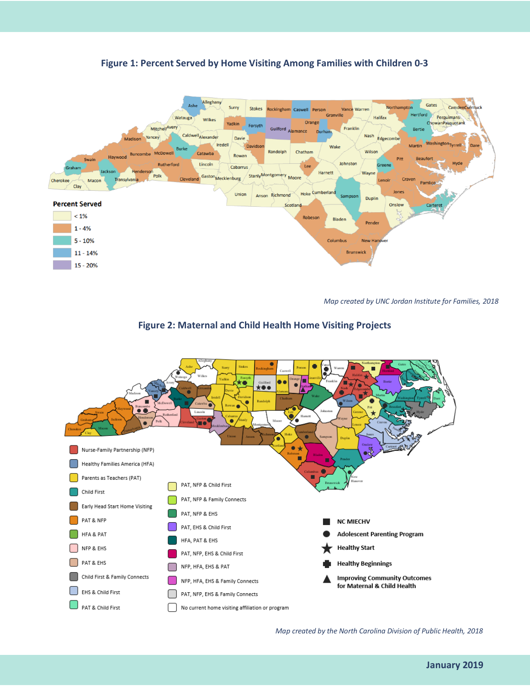



*Map created by UNC Jordan Institute for Families, 2018*





*Map created by the North Carolina Division of Public Health, 2018*